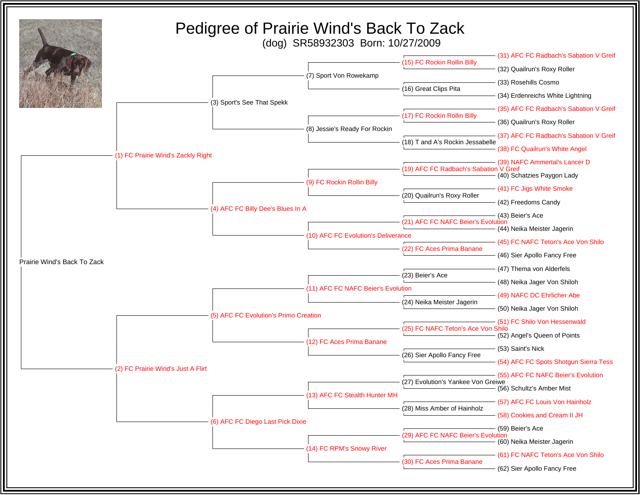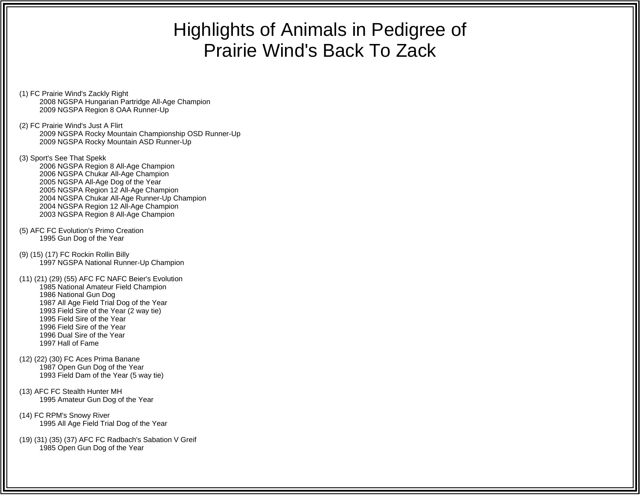## Highlights of Animals in Pedigree of Prairie Wind's Back To Zack

- (1) FC Prairie Wind's Zackly Right 2008 NGSPA Hungarian Partridge All-Age Champion 2009 NGSPA Region 8 OAA Runner-Up
- (2) FC Prairie Wind's Just A Flirt 2009 NGSPA Rocky Mountain Championship OSD Runner-Up 2009 NGSPA Rocky Mountain ASD Runner-Up
- (3) Sport's See That Spekk 2006 NGSPA Region 8 All-Age Champion 2006 NGSPA Chukar All-Age Champion 2005 NGSPA All-Age Dog of the Year 2005 NGSPA Region 12 All-Age Champion 2004 NGSPA Chukar All-Age Runner-Up Champion 2004 NGSPA Region 12 All-Age Champion 2003 NGSPA Region 8 All-Age Champion
- (5) AFC FC Evolution's Primo Creation 1995 Gun Dog of the Year
- (9) (15) (17) FC Rockin Rollin Billy 1997 NGSPA National Runner-Up Champion
- (11) (21) (29) (55) AFC FC NAFC Beier's Evolution 1985 National Amateur Field Champion 1986 National Gun Dog 1987 All Age Field Trial Dog of the Year 1993 Field Sire of the Year (2 way tie) 1995 Field Sire of the Year 1996 Field Sire of the Year 1996 Dual Sire of the Year1997 Hall of Fame
- (12) (22) (30) FC Aces Prima Banane 1987 Open Gun Dog of the Year 1993 Field Dam of the Year (5 way tie)
- (13) AFC FC Stealth Hunter MH 1995 Amateur Gun Dog of the Year
- (14) FC RPM's Snowy River 1995 All Age Field Trial Dog of the Year
- (19) (31) (35) (37) AFC FC Radbach's Sabation V Greif 1985 Open Gun Dog of the Year